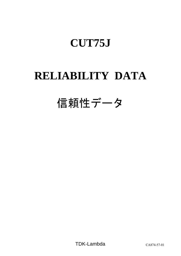# **RELIABILITY DATA**

# 信頼性データ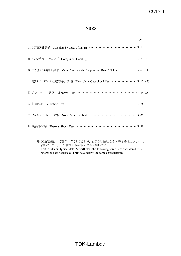# **INDEX**

|                                                                            | <b>PAGE</b> |
|----------------------------------------------------------------------------|-------------|
|                                                                            |             |
| 2. 部品ディレーティング Component Derating ………………………………… R-2~7                       |             |
| 3. 主要部品温度上昇值 Main Components Temperature Rise △T List ············· R-8∼11 |             |
| 4. 電解コンデンサ推定寿命計算値 Electrolytic Capacitor Lifetime …………… R-12~23            |             |
|                                                                            |             |
| 6. 振動試験 Vibration Test ………………………………………………… R-26                            |             |
| 7. ノイズシミュレート試験 Noise Simulate Test ………………………………… R-27                      |             |
| 8. 熱衝擊試験 Thermal Shock Test ……………………………………… R-28                           |             |
|                                                                            |             |

※ 試験結果は、代表データでありますが、全ての製品はほぼ同等な特性を示します。 従いまして、以下の結果は参考値とお考え願います。 Test results are typical data. Nevertheless the following results are considered to be reference data because all units have nearly the same characteristics.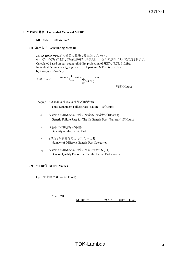### 1.**MTBF**計算値 **Calculated Values of MTBF**

### **MODEL** : **CUT75J-522**

### **(1)** 算出方法 **Calculating Method**

JEITA (RCR-9102B)の部品点数法で算出されています。 それぞれの部品ごとに、部品故障率λGが与えられ、各々の点数によって決定されます。 Calculated based on part count reliability projection of JEITA (RCR-9102B). Individual failure rates  $\lambda_G$  is given to each part and MTBF is calculated by the count of each part.

<算出式>  $(\lambda_c \pi_o)$ 6 1  $=\frac{1}{1} \times 10^6 = \frac{1}{1} \times 10^{-1}$  $\sum_{i=1}^n$ *i*  $\sum_{i=1}^{} n_i (\lambda_{\overline{G}} \pi_{\overline{Q}})_i$  $MTBF = \frac{1}{\lambda_{\text{equip}}} \times 10^6 = \frac{1}{\sum_{n=1}^{n} (\lambda_n \pi)^n}$ 

時間(Hours)

- λequip :全機器故障率 (故障数/10 $^6$ 時間) Total Equipment Failure Rate (Failure  $\frac{10^{6}$  Hours)
	- $\lambda_{\rm G}$  :i 番目の同属部品に対する故障率 (故障数/10 $^6$ 時間) Generic Failure Rate for The ith Generic Part (Failure  $/10^6$  Hours)
	- ni :i 番目の同属部品の個数 Quantity of ith Generic Part
	- n :異なった同属部品のカテゴリーの数 Number of Different Generic Part Categories
	- $\pi_{\mathsf{Q}}$  :i番目の同属部品に対する品質ファクタ ( $\pi_{\mathsf{Q}}$ =1) Generic Quality Factor for The ith Generic Part  $(\pi_0=1)$

### **(2) MTBF**値 **MTBF Values**

GF : 地上固定 (Ground, Fixed)

RCR-9102B MTBF ≒  $169.333$  時間 (Hours)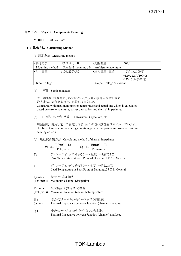### 2.部品ディレーティング **Components Derating**

#### **MODEL** : **CUT75J-522**

#### **(1)** 算出方法 **Calculating Method**

(a) 測定方法 Measuring method

| ·取付方法           | :標準取付:B              | ・周囲温度                      | :50 $\degree$ C           |
|-----------------|----------------------|----------------------------|---------------------------|
| Mounting method | Standard mounting: B | Ambient temperature        |                           |
| ・入力電圧           | $:100,230$ VAC       | ・出力電圧、電流                   | $\therefore$ 5V, 8A(100%) |
|                 |                      |                            | $+12V, 2.5A(100\%)$       |
|                 |                      |                            | $-12V, 0.5A(100\%)$       |
| Input voltage   |                      | Output voltage $&$ current |                           |

(b) 半導体 Semiconductors

 ケース温度、消費電力、熱抵抗より使用状態の接合点温度を求め 最大定格、接合点温度との比較を求めました。 Compared with maximum junction temperature and actual one which is calculated based on case temperature, power dissipation and thermal impedance.

(c) IC、抵抗、コンデンサ等 IC, Resistors, Capacitors, etc.

 周囲温度、使用状態、消費電力など、個々の値は設計基準内に入っています。 Ambient temperature, operating condition, power dissipation and so on are within derating criteria.

(d) 熱抵抗算出方法 Calculating method of thermal impedance

$$
\theta j - c = \frac{Tj(max) - Tc}{Pch(max)} \qquad \theta j - l = \frac{Tj(max) - Tl}{Pch(max)}
$$

- Tc :ディレーティングの始まるケース温度 一般に25℃ Case Temperature at Start Point of Derating;25℃ in General
- Tl :ディレーティングの始まるリード温度 一般に25℃ Lead Temperature at Start Point of Derating;25℃ in General

Pj(max) :最大チャネル損失

- (Pch(max)) Maximum Channel Dissipation
- Tj(max) :最大接合点(チャネル)温度 (Tch(max)) Maximum Junction (channel) Temperature
- θi-c :接合点(チャネル)からケースまでの熱抵抗
- (θch-c) Thermal Impedance between Junction (channel) and Case
- θj-l :接合点(チャネル)からリードまでの熱抵抗 Thermal Impedance between Junction (channel) and Lead

# $TDK-Lambda$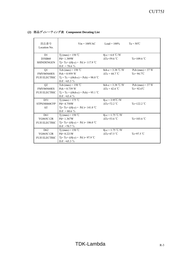| 部品番号<br>Location No. | $Vin = 100VAC$                                   | $Load = 100\%$                | $Ta = 50^{\circ}C$   |
|----------------------|--------------------------------------------------|-------------------------------|----------------------|
| D <sub>1</sub>       | T <sub>j</sub> (max) = 150 °C                    | $\theta$ j-c = 6.0 °C/W       |                      |
| <b>D3SB60</b>        | $Pd = 1.389W$                                    | $\Delta$ Tc=59.6 °C           | Tc=109.6 $°C$        |
| <b>SHINDENGEN</b>    | Tj=Tc+ (( $\theta$ j-c) × Pd )= 117.9 °C         |                               |                      |
|                      | $D.F. = 78.6 \%$                                 |                               |                      |
| Q1                   | Tch (max) = $150^{\circ}$ C                      | $\theta$ ch-c = 3.38 °C/W     | Pch $(max) = 37 W$   |
| FMV06N60ES           | $Pch = 0.959 W$                                  | $\Delta Tc = 44.7$ °C         | Tc= $94.7^{\circ}$ C |
| <b>FUJI ELECTRIC</b> | $Tj = Tc + ((\theta ch-c) \times Pch) = 98.0$ °C |                               |                      |
|                      | D.F. $=65.3\%$                                   |                               |                      |
| Q <sub>2</sub>       | Tch (max) = $150^{\circ}$ C                      | $\theta$ ch-c = 3.38 °C/W     | Pch $(max) = 37 W$   |
| FMV06N60ES           | $Pch = 0.739 W$                                  | $\Delta Tc = 42.6 \text{ °C}$ | $Te=92.6^{\circ}C$   |
| <b>FUJI ELECTRIC</b> | $Tj = Tc + ((\theta ch-c) \times Pch) = 95.1$ °C |                               |                      |
|                      | D.F. $=63.4\%$                                   |                               |                      |
| D51                  | Tj (max) = 175 °C                                | $\theta$ j-c = 3.95°C/W       |                      |
| STPS30H60CFP         | $Pd = 4.758W$                                    | $\triangle$ Tc=72.2 °C        | Tc=122.2 $\degree$ C |
| <b>ST</b>            | Tj=Tc+(( $\theta$ j-c) × Pd)=141.0 °C            |                               |                      |
|                      | D.F. = 80.6 $\%$                                 |                               |                      |
| D <sub>61</sub>      | T <sub>j</sub> (max) = $150^{\circ}$ C           | $\theta$ j-c = 1.75 °C/W      |                      |
| YG865C12R            | $Pd = 1.367W$                                    | $\Delta$ Tc=53.6 °C           | Tc=103.6 $°C$        |
| <b>FUJI ELECTRIC</b> | Tj= Tc+ ((θj-c) × Pd )= 106.0 °C                 |                               |                      |
|                      | D.F. = $70.7\%$                                  |                               |                      |
| D <sub>62</sub>      | Tj (max) = $150^{\circ}$ C                       | $\theta$ j-c = 1.75 °C/W      |                      |
| YG865C12R            | $Pd = 0.221W$                                    | $\Delta$ Tc=47.5 °C           | Tc=97.5 $\degree$ C  |
| <b>FUJI ELECTRIC</b> | Tj=Tc+ (( $\theta$ j-c) × Pd)= 97.9 °C           |                               |                      |
|                      | D.F. $=65.3\%$                                   |                               |                      |

### **(2)** 部品ディレーティング表 **Component Derating List**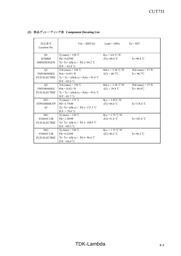| 部品番号<br>Location No. | $V$ in = 200VAC                                  | $Load = 100\%$              | $Ta = 50^{\circ}C$    |
|----------------------|--------------------------------------------------|-----------------------------|-----------------------|
| D <sub>1</sub>       | T <sub>j</sub> (max) = 150 °C                    | $\theta$ j-c = 6.0 °C/W     |                       |
| <b>D3SB60</b>        | $Pd = 0.629W$                                    | $\triangle$ Tc=40.4 °C      | Tc=90.4 $\degree$ C   |
| <b>SHINDENGEN</b>    | Tj=Tc+ (( $\theta$ j-c) × Pd)=94.2 °C            |                             |                       |
|                      | D.F. = $62.8\%$                                  |                             |                       |
| Q1                   | Tch (max) = $150^{\circ}$ C                      | $\theta$ ch-c = 3.38 °C/W   | Pch $(max) = 37$ W    |
| FMV06N60ES           | $Pch = 0.951 W$                                  | $\Delta Tc = 40.7^{\circ}C$ | $Tc = 90.7$ °C        |
| <b>FUJI ELECTRIC</b> | $Tj = Tc + ((\theta ch-c) \times Pch) = 93.9$ °C |                             |                       |
|                      | D.F. $=62.6\%$                                   |                             |                       |
| Q <sub>2</sub>       | Tch (max) = $150$ °C                             | $\theta$ ch-c = 3.38 °C/W   | Pch $(max) = 37 W$    |
| FMV06N60ES           | $Pch = 0.821 W$                                  | $\Delta Tc = 39.8$ °C       | $Tc = 89.8^{\circ}C$  |
| <b>FUJI ELECTRIC</b> | $Tj = Tc + ((\theta ch-c) \times Pch) = 92.6$ °C |                             |                       |
|                      | D.F. $=61.7\%$                                   |                             |                       |
| D51                  | Tj (max) = 175 °C                                | $\theta$ j-c = 3.95°C/W     |                       |
| STPS30H60CFP         | $Pd = 4.776W$                                    | $\Delta$ Tc=68.6 °C         | Tc=118.6 $^{\circ}$ C |
| <b>ST</b>            | Tj=Tc+ (( $\theta$ j-c) × Pd )= 137.5 °C         |                             |                       |
|                      | D.F. = 78.6 $%$                                  |                             |                       |
| D <sub>61</sub>      | T <sub>1</sub> (max) = $150^{\circ}$ C           | $\theta$ j-c = 1.75 °C/W    |                       |
| YG865C12R            | $Pd = 1.369W$                                    | $\triangle$ Tc=51.6 °C      | Tc=101.6 $°C$         |
| <b>FUJI ELECTRIC</b> | Tj= Tc+ (( $\theta$ j-c) × Pd )= 104.0 °C        |                             |                       |
|                      | D.F. $=69.3\%$                                   |                             |                       |
| D <sub>62</sub>      | Tj (max) = $150^{\circ}$ C                       | $\theta$ j-c = 1.75 °C/W    |                       |
| YG865C12R            | $Pd = 0.224W$                                    | $\triangle$ Tc=46.2 °C      | Tc=96.2 $\degree$ C   |
| <b>FUJI ELECTRIC</b> | Tj=Tc+ (( $\theta$ j-c) × Pd)=96.6 °C            |                             |                       |
|                      | D.F. $=64.4\%$                                   |                             |                       |

### **(2)** 部品ディレーティング表 **Component Derating List**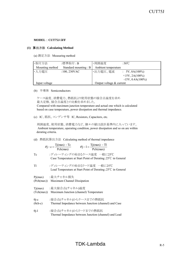#### **(1)** 算出方法 **Calculating Method**

(a) 測定方法 Measuring method

| ·取付方法           | :標準取付:B              | ・周囲温度                      | :50 $\degree$ C           |
|-----------------|----------------------|----------------------------|---------------------------|
| Mounting method | Standard mounting: B | Ambient temperature        |                           |
| ・入力電圧           | $:100,230$ VAC       | ・出力電圧、電流                   | $\therefore$ 5V, 8A(100%) |
|                 |                      |                            | $+15V, 2A(100\%)$         |
|                 |                      |                            | $-15V$ , 0.4A $(100\%)$   |
| Input voltage   |                      | Output voltage $&$ current |                           |

(b) 半導体 Semiconductors

 ケース温度、消費電力、熱抵抗より使用状態の接合点温度を求め 最大定格、接合点温度との比較を求めました。 Compared with maximum junction temperature and actual one which is calculated based on case temperature, power dissipation and thermal impedance.

(c) IC、抵抗、コンデンサ等 IC, Resistors, Capacitors, etc.

 周囲温度、使用状態、消費電力など、個々の値は設計基準内に入っています。 Ambient temperature, operating condition, power dissipation and so on are within derating criteria.

(d) 熱抵抗算出方法 Calculating method of thermal impedance

$$
\theta j - c = \frac{Tj(max) - Tc}{Pch(max)} \qquad \theta j - l = \frac{Tj(max) - Tl}{Pch(max)}
$$

- Tc :ディレーティングの始まるケース温度 一般に25℃ Case Temperature at Start Point of Derating;25℃ in General
- Tl :ディレーティングの始まるリード温度 一般に25℃ Lead Temperature at Start Point of Derating;25℃ in General

Pj(max) :最大チャネル損失

- (Pch(max)) Maximum Channel Dissipation
- Tj(max) :最大接合点(チャネル)温度 (Tch(max)) Maximum Junction (channel) Temperature
- θi-c :接合点(チャネル)からケースまでの熱抵抗
- (θch-c) Thermal Impedance between Junction (channel) and Case
- θj-l :接合点(チャネル)からリードまでの熱抵抗 Thermal Impedance between Junction (channel) and Lead

# $TDK$ -Lambda  $R-5$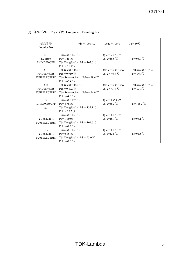| 部品番号<br>Location No. | $V$ in = 100 $V$ AC                              | $Load = 100\%$                              | $Ta = 50^{\circ}C$    |
|----------------------|--------------------------------------------------|---------------------------------------------|-----------------------|
| D1                   | T <sub>j</sub> (max) = 150 °C                    | $\theta$ j-c = 6.0 °C/W                     |                       |
| D3SB60               | $Pd = 1.451W$                                    | $\triangle Tc=48.9^{\circ}C$                | Tc=98.9 $°C$          |
| <b>SHINDENGEN</b>    | Tj=Tc+(( $\theta$ j-c) × Pd)=107.6 °C            |                                             |                       |
|                      | $D.F. = 71.7\%$                                  |                                             |                       |
| Q1                   | Tch (max) = $150^{\circ}$ C                      | $\theta$ ch-c = 3.38 °C/W                   | Pch $(max) = 37$ W    |
| FMV06N60ES           | $Pch = 0.959 W$                                  | $\Delta Tc = 46.3$ °C                       | $Te = 96.3^{\circ}C$  |
| <b>FUJI ELECTRIC</b> | $Tj = Tc + ((\theta ch-c) \times Pch) = 99.6$ °C |                                             |                       |
|                      | D.F. = 66.4 $\%$                                 |                                             |                       |
| Q <sub>2</sub>       | Tch (max) = $150$ °C                             | $\theta$ ch-c = 3.38 °C/W                   | Pch $(max) = 37 W$    |
| FMV06N60ES           | $Pch = 0.802 W$                                  | $\Delta Tc = 43.3 \text{ }^{\circ}\text{C}$ | $Te = 93.3^{\circ}C$  |
| <b>FUJI ELECTRIC</b> | $Tj = Tc + ((\theta ch-c) \times Pch) = 96.0$ °C |                                             |                       |
|                      | D.F. $=64.0\%$                                   |                                             |                       |
| D51                  | T <sub>j</sub> (max) = 175 °C                    | $\theta$ j-c = 3.95°C/W                     |                       |
| STPS30H60CFP         | $Pd = 4.758W$                                    | $\Delta$ Tc=66.3 °C                         | Tc=116.3 $^{\circ}$ C |
| <b>ST</b>            | Tj=Tc+(( $\theta$ j-c) × Pd)=135.1 °C            |                                             |                       |
|                      | $D.F. = 77.2 \%$                                 |                                             |                       |
| D <sub>61</sub>      | T <sub>1</sub> (max) = $150^{\circ}$ C           | $\theta$ j-c = 3.0 °C/W                     |                       |
| YG862C15R            | $Pd = 1.150W$                                    | $\Delta$ Tc=48.1 °C                         | Tc=98.1 $\degree$ C   |
| <b>FUJI ELECTRIC</b> | Tj= Tc+ ((θj-c) × Pd )= 101.6 °C                 |                                             |                       |
|                      | D.F. $=67.7\%$                                   |                                             |                       |
| D <sub>62</sub>      | Tj (max) = $150^{\circ}$ C                       | $\theta$ j-c = 3.0 °C/W                     |                       |
| YG862C15R            | $Pd = 0.181W$                                    | $\Delta$ Tc=42.5 °C                         | Tc=92.5 $°C$          |
| <b>FUJI ELECTRIC</b> | $T = Tc + ((\theta - c) \times Pd) = 93.0$ °C    |                                             |                       |
|                      | D.F. $=62.0\%$                                   |                                             |                       |

### **(2)** 部品ディレーティング表 **Component Derating List**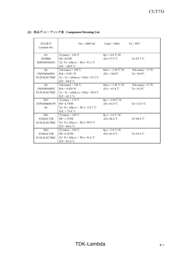| 部品番号<br>Location No. | $V$ in = 200VAC                                  | $Load = 100\%$              | $Ta = 50^{\circ}C$   |
|----------------------|--------------------------------------------------|-----------------------------|----------------------|
| D <sub>1</sub>       | Tj (max) = $150 °C$                              | $\theta$ j-c = 6.0 °C/W     |                      |
| <b>D3SB60</b>        | $Pd = 0.63W$                                     | $\triangle$ Tc=37.5 °C      | Tc=87.5 $°C$         |
| <b>SHINDENGEN</b>    | Tj=Tc+ (( $\theta$ j-c) × Pd)=91.3 °C            |                             |                      |
|                      | D.F. = 60.9 $\%$                                 |                             |                      |
| Q1                   | Tch (max) = $150^{\circ}$ C                      | $\theta$ ch-c = 3.38 °C/W   | Pch $(max) = 37 W$   |
| FMV06N60ES           | $Pch = 0.951 W$                                  | $\Delta Tc = 44.0^{\circ}C$ | $Te = 94.0^{\circ}C$ |
| <b>FUJI ELECTRIC</b> | $Tj = Tc + ((\theta ch-c) \times Pch) = 97.2$ °C |                             |                      |
|                      | D.F. $=64.8\%$                                   |                             |                      |
| Q2                   | Tch (max) = $150^{\circ}$ C                      | $\theta$ ch-c = 3.38 °C/W   | Pch (max) = $37 W$   |
| FMV06N60ES           | $Pch = 0.928 W$                                  | $\Delta Tc = 41.8$ °C       | $Tc = 91.8^{\circ}C$ |
| <b>FUJI ELECTRIC</b> | $Tj = Tc + ((\theta ch-c) \times Pch) = 95.0$ °C |                             |                      |
|                      | D.F. $=63.3\%$                                   |                             |                      |
| D51                  | T <sub>j</sub> (max) = 175 °C                    | $\theta$ j-c = 3.95°C/W     |                      |
| STPS30H60CFP         | $Pd = 4.776W$                                    | $\Delta$ Tc=63.8 °C         | Tc= $113.8$ °C       |
| <b>ST</b>            | Tj=Tc+(( $\theta$ j-c) × Pd)=132.7 °C            |                             |                      |
|                      | $D.F. = 75.8 \%$                                 |                             |                      |
| D <sub>61</sub>      | Tj (max) = $150^{\circ}$ C                       | $\theta$ j-c = 3.0 °C/W     |                      |
| YG862C15R            | $Pd = 1.153W$                                    | $\triangle$ Tc=46.4 °C      | Tc=96.4 $\degree$ C  |
| <b>FUJI ELECTRIC</b> | Tj= Tc+ (( $\theta$ j-c) × Pd )= 99.9 °C         |                             |                      |
|                      | D.F. = 66.6 $\%$                                 |                             |                      |
| D <sub>62</sub>      | Tj (max) = $150^{\circ}$ C                       | $\theta$ j-c = 3.0 °C/W     |                      |
| YG862C15R            | $Pd = 0.187W$                                    | $\Delta$ Tc=41.0 °C         | Tc=91.0 $°C$         |
| <b>FUJI ELECTRIC</b> | Tj=Tc+ (( $\theta$ j-c) × Pd)= 91.6 °C           |                             |                      |
|                      | D.F. $=61.0\%$                                   |                             |                      |

### **(2)** 部品ディレーティング表 **Component Derating List**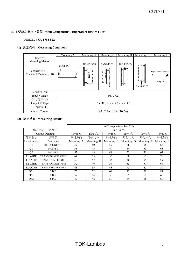### 3.主要部品温度上昇値 **Main Components Temperature Rise** △**T List**

### **MODEL : CUT75J-522**

### **(1)** 測定条件 **Measuring Conditions**

|                                                                | Mounting A                        | Mounting B               | Mounting C            | Mounting D               | Mounting E             | Mounting F                   |
|----------------------------------------------------------------|-----------------------------------|--------------------------|-----------------------|--------------------------|------------------------|------------------------------|
| 取付方法<br>Mounting Method<br>(標準取付: B)<br>(Standard Mounting: B) | CN1(INPUT)<br>,,,,,,,,,,,,,,,,,,, | CN1(INPUT)<br>in in<br>Ű | CN1(INPUT)<br>Ø       | CN1(INPUT)<br>≔<br>(⊨⊫ – | ĔΗ<br>し引き<br>CN1(INPUT | <u>ummmmmm</u><br>CN1(INPUT) |
| 入力電圧 Vin                                                       |                                   |                          |                       |                          |                        |                              |
| Input Voltage                                                  |                                   |                          | 100VAC                |                          |                        |                              |
| 出力電圧 Vo                                                        |                                   |                          |                       |                          |                        |                              |
| Output Voltage                                                 | 5VDC, +12VDC, -12VDC              |                          |                       |                          |                        |                              |
| 出力電流 Io                                                        |                                   |                          |                       |                          |                        |                              |
| Output Current                                                 |                                   |                          | 8A, 2.5A, 0.5A (100%) |                          |                        |                              |

|                     |                         | $\Delta T$ Temperature Rise (°C)                                                                           |            |            |            |            |                    |
|---------------------|-------------------------|------------------------------------------------------------------------------------------------------------|------------|------------|------------|------------|--------------------|
| 出力ディレーティング          |                         |                                                                                                            |            | $Io=100\%$ |            |            |                    |
|                     | <b>Output Derating</b>  | Ta= $45^{\circ}$ C<br>Ta= $45^{\circ}$ C<br>Ta= $50^{\circ}$ C<br>Ta= $45^{\circ}$ C<br>Ta= $45^{\circ}$ C |            |            |            |            | Ta= $40^{\circ}$ C |
| 部品番号                | 部品名                     | 取付方向                                                                                                       | 取付方向       | 取付方向       | 取付方向       | 取付方向       | 取付方向               |
| Location No.        | Part name               | Mounting A                                                                                                 | Mounting B | Mounting C | Mounting D | Mounting E | Mounting F         |
| D <sub>1</sub>      | <b>BRIDGE DIODE</b>     | 59                                                                                                         | 60         | 57         | 66         | 58         | 68                 |
| Q1                  | <b>MOSFET</b>           | 53                                                                                                         | 45         | 49         | 54         | 53         | 63                 |
| Q2                  | <b>MOSFET</b>           | 52                                                                                                         | 43         | 48         | 53         | 51         | 61                 |
| <b>T1 WIRE</b>      | <b>TRANSFORMER WIRE</b> | 64                                                                                                         | 55         | 53         | 60         | 65         | 70                 |
| <b>T1 CORE</b>      | <b>TRANSFORMER CORE</b> | 56                                                                                                         | 47         | 45         | 50         | 54         | 59                 |
| T <sub>2</sub> WIRE | <b>TRANSFORMER WIRE</b> | 52                                                                                                         | 46         | 54         | 55         | 57         | 64                 |
| <b>T2 CORE</b>      | <b>TRANSFORMER CORE</b> | 43                                                                                                         | 35         | 43         | 45         | 45         | 50                 |
| D51                 | S.B.D                   | 73                                                                                                         | 72         | 69         | 72         | 78         | 81                 |
| D <sub>61</sub>     | S.B.D                   | 57                                                                                                         | 54         | 55         | 55         | 61         | 66                 |
| D <sub>62</sub>     | S.B.D                   | 49                                                                                                         | 48         | 50         | 49         | 56         | 60                 |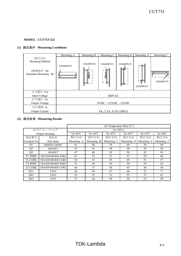# **(1)** 測定条件 **Measuring Conditions**

|                                                                | Mounting A                          | Mounting B | Mounting C            | Mounting D          | Mounting E               | Mounting F                    |
|----------------------------------------------------------------|-------------------------------------|------------|-----------------------|---------------------|--------------------------|-------------------------------|
| 取付方法<br>Mounting Method<br>(標準取付: B)<br>(Standard Mounting: B) | CN1(INPUT)<br>,,,,,,,,,,,,,,,,,,,,, | CN1(INPUT) | CN1(INPUT)<br>Ź<br>۰F | CN1(INPUT)<br>t—n—i | ĦЕ<br>니ו리다<br>CN1(INPUT) | ,,,,,,,,,,,,,,,<br>CN1(INPUT) |
| 入力電圧 Vin                                                       |                                     |            |                       |                     |                          |                               |
| Input Voltage                                                  |                                     |            | 200VAC                |                     |                          |                               |
| 出力電圧 Vo                                                        |                                     |            |                       |                     |                          |                               |
| Output Voltage                                                 | 5VDC, +12VDC, -12VDC                |            |                       |                     |                          |                               |
| 出力電流 Io                                                        |                                     |            |                       |                     |                          |                               |
| <b>Output Current</b>                                          |                                     |            | 8A, 2.5A, 0.5A (100%) |                     |                          |                               |

|                 |                         | $\Delta T$ Temperature Rise (°C) |                    |                    |                    |                    |                    |
|-----------------|-------------------------|----------------------------------|--------------------|--------------------|--------------------|--------------------|--------------------|
|                 | 出力ディレーティング              |                                  |                    | $Io=100\%$         |                    |                    |                    |
|                 | <b>Output Derating</b>  | $Ta=45^{\circ}C$                 | $Ta = 50^{\circ}C$ | Ta= $45^{\circ}$ C | Ta= $45^{\circ}$ C | Ta= $45^{\circ}$ C | Ta= $40^{\circ}$ C |
| 部品番号            | 部品名                     | 取付方向                             | 取付方向               | 取付方向               | 取付方向               | 取付方向               | 取付方向               |
| Location No.    | Part name               | Mounting A                       | Mounting B         | Mounting C         | Mounting D         | Mounting E         | Mounting F         |
| D1              | <b>BRIDGE DIODE</b>     | 41                               | 40                 | 39                 | 48                 | 39                 | 50                 |
| Q1              | <b>MOSFET</b>           | 47                               | 41                 | 44                 | 50                 | 45                 | 56                 |
| Q2              | <b>MOSFET</b>           | 47                               | 40                 | 45                 | 50                 | 45                 | 56                 |
| <b>T1 WIRE</b>  | <b>TRANSFORMER WIRE</b> | 61                               | 53                 | 51                 | 57                 | 59                 | 66                 |
| <b>T1 CORE</b>  | <b>TRANSFORMER CORE</b> | 54                               | 47                 | 45                 | 49                 | 51                 | 57                 |
| <b>T2 WIRE</b>  | <b>TRANSFORMER WIRE</b> | 51                               | 46                 | 54                 | 54                 | 54                 | 62                 |
| <b>T2 CORE</b>  | <b>TRANSFORMER CORE</b> | 44                               | 37                 | 46                 | 45                 | 44                 | 50                 |
| D51             | S.B.D                   | 69                               | 69                 | 67                 | 68                 | 72                 | 77                 |
| D <sub>61</sub> | S.B.D                   | 55                               | 52                 | 53                 | 53                 | 57                 | 62                 |
| D <sub>62</sub> | S.B.D                   | 47                               | 46                 | 49                 | 48                 | 52                 | 58                 |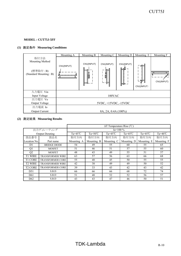# **(1)** 測定条件 **Measuring Conditions**

|                                                                | Mounting A           | Mounting B                 | Mounting C          | Mounting D                | Mounting E                                              | Mounting F                      |
|----------------------------------------------------------------|----------------------|----------------------------|---------------------|---------------------------|---------------------------------------------------------|---------------------------------|
| 取付方法<br>Mounting Method<br>(標準取付: B)<br>(Standard Mounting: B) | CN1(INPUT)           | CN1(INPUT)<br>il il i<br>Í | CN1(INPUT)<br>Ø     | CN1(INPUT)<br>o<br>┡═┞═┈╌ | ばんじょう はんしょう はんしょう はんしょう はんしょう はんしょう<br>開目<br>CN1(INPUT) | ,,,,,,,,,,,,,,,,,<br>CN1(INPUT) |
| 入力電圧 Vin                                                       |                      |                            |                     |                           |                                                         |                                 |
| Input Voltage                                                  |                      |                            | 100VAC              |                           |                                                         |                                 |
| 出力電圧 Vo                                                        |                      |                            |                     |                           |                                                         |                                 |
| Output Voltage                                                 | 5VDC, +15VDC, -15VDC |                            |                     |                           |                                                         |                                 |
| 出力電流 Io                                                        |                      |                            |                     |                           |                                                         |                                 |
| <b>Output Current</b>                                          |                      |                            | 8A, 2A, 0.4A (100%) |                           |                                                         |                                 |

|                     |                         |                    |                    | $\Delta T$ Temperature Rise (°C) |                    |                    |                    |
|---------------------|-------------------------|--------------------|--------------------|----------------------------------|--------------------|--------------------|--------------------|
|                     | 出力ディレーティング              |                    |                    | $Io=100\%$                       |                    |                    |                    |
|                     | <b>Output Derating</b>  | Ta= $45^{\circ}$ C | Ta= $50^{\circ}$ C | Ta= $45^{\circ}$ C               | Ta= $45^{\circ}$ C | Ta= $45^{\circ}$ C | Ta= $40^{\circ}$ C |
| 部品番号                | 部品名                     | 取付方向               | 取付方向               | 取付方向                             | 取付方向               | 取付方向               | 取付方向               |
| Location No.        | Part name               | Mounting A         | Mounting B         | Mounting C                       | Mounting D         | Mounting E         | Mounting F         |
| D <sub>1</sub>      | <b>BRIDGE DIODE</b>     | 54                 | 49                 | 55                               | 60                 | 55                 | 65                 |
| Q1                  | <b>MOSFET</b>           | 51                 | 46                 | 51                               | 57                 | 55                 | 60                 |
| Q2                  | <b>MOSFET</b>           | 48                 | 43                 | 49                               | 55                 | 51                 | 57                 |
| <b>T1 WIRE</b>      | <b>TRANSFORMER WIRE</b> | 63                 | 57                 | 56                               | 63                 | 66                 | 68                 |
| <b>T1 CORE</b>      | <b>TRANSFORMER CORE</b> | 55                 | 48                 | 45                               | 50                 | 55                 | 55                 |
| T <sub>2</sub> WIRE | <b>TRANSFORMER WIRE</b> | 42                 | 38                 | 49                               | 49                 | 50                 | 52                 |
| <b>T2 CORE</b>      | <b>TRANSFORMER CORE</b> | 39                 | 33                 | 43                               | 42                 | 43                 | 42                 |
| D51                 | S.B.D                   | 66                 | 66                 | 66                               | 68                 | 72                 | 74                 |
| D <sub>61</sub>     | S.B.D                   | 51                 | 48                 | 52                               | 52                 | 56                 | 57                 |
| D <sub>62</sub>     | S.B.D                   | 43                 | 43                 | 47                               | 46                 | 50                 | 51                 |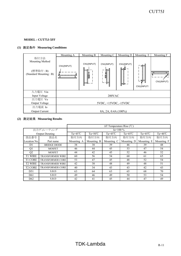# **(1)** 測定条件 **Measuring Conditions**

|                                                                | Mounting A | Mounting B | Mounting C            | Mounting D               | Mounting E               | Mounting F                    |
|----------------------------------------------------------------|------------|------------|-----------------------|--------------------------|--------------------------|-------------------------------|
| 取付方法<br>Mounting Method<br>(標準取付: B)<br>(Standard Mounting: B) | CN1(INPUT) | CN1(INPUT) | CN1(INPUT)<br>Ź<br>۰F | CN1(INPUT)<br>ਬਸ<br>∖⊨⊫⊶ | '≢⊨<br>ㄴ뚸ᄃ<br>CN1(INPUT) | ,,,,,,,,,,,,,,,<br>CN1(INPUT) |
| 入力電圧 Vin                                                       |            |            |                       |                          |                          |                               |
| Input Voltage                                                  |            |            | 200VAC                |                          |                          |                               |
| 出力電圧 Vo                                                        |            |            |                       |                          |                          |                               |
| Output Voltage                                                 |            |            | 5VDC, +15VDC, -15VDC  |                          |                          |                               |
| 出力電流 Io                                                        |            |            |                       |                          |                          |                               |
| <b>Output Current</b>                                          |            |            | 8A, 2A, 0.4A (100%)   |                          |                          |                               |

|                 |                         |                  |                    | $\Delta T$ Temperature Rise (°C) |                    |                    |                    |
|-----------------|-------------------------|------------------|--------------------|----------------------------------|--------------------|--------------------|--------------------|
|                 | 出力ディレーティング              |                  |                    | $Io=100\%$                       |                    |                    |                    |
|                 | <b>Output Derating</b>  | $Ta=45^{\circ}C$ | $Ta = 50^{\circ}C$ | Ta= $45^{\circ}$ C               | Ta= $45^{\circ}$ C | Ta= $45^{\circ}$ C | Ta= $40^{\circ}$ C |
| 部品番号            | 部品名                     | 取付方向             | 取付方向               | 取付方向                             | 取付方向               | 取付方向               | 取付方向               |
| Location No.    | Part name               | Mounting A       | Mounting B         | Mounting C                       | Mounting D         | Mounting E         | Mounting F         |
| D <sub>1</sub>  | <b>BRIDGE DIODE</b>     | 38               | 38                 | 39                               | 46                 | 39                 | 48                 |
| Q1              | <b>MOSFET</b>           | 46               | 44                 | 45                               | 53                 | 47                 | 54                 |
| Q2              | <b>MOSFET</b>           | 44               | 42                 | 45                               | 52                 | 46                 | 52                 |
| <b>T1 WIRE</b>  | <b>TRANSFORMER WIRE</b> | 60               | 56                 | 54                               | 60                 | 61                 | 65                 |
| <b>T1 CORE</b>  | <b>TRANSFORMER CORE</b> | 53               | 47                 | 45                               | 48                 | 52                 | 54                 |
| <b>T2 WIRE</b>  | <b>TRANSFORMER WIRE</b> | 42               | 38                 | 48                               | 49                 | 48                 | 51                 |
| <b>T2 CORE</b>  | <b>TRANSFORMER CORE</b> | 40               | 34                 | 43                               | 43                 | 42                 | 43                 |
| D51             | S.B.D                   | 63               | 64                 | 63                               | 65                 | 68                 | 70                 |
| D <sub>61</sub> | S.B.D                   | 49               | 46                 | 49                               | 50                 | 53                 | 54                 |
| D <sub>62</sub> | S.B.D                   | 42               | 41                 | 45                               | 44                 | 47                 | 49                 |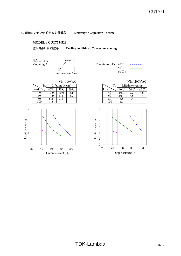### 4.電解コンデンサ推定寿命計算値 **Electrolytic Capacitor Lifetime**

### **MODEL : CUT75J-522**

空冷条件:自然空冷 **Cooling condition : Convection cooling**

取付方向 A



|  | Conditions Ta $40^{\circ}$ C : $---$ |
|--|--------------------------------------|
|  |                                      |
|  | $60^{\circ}$ C: $---$                |



|      |                  | $Vin=100VAC$ |      |                  | $Vin=200VAC$ |  |
|------|------------------|--------------|------|------------------|--------------|--|
|      | Lifetime (years) |              | Тa   | Lifetime (years) |              |  |
| 40℃  |                  |              | Load |                  |              |  |
|      |                  |              | 40   |                  |              |  |
| 10.0 |                  |              | 60   | ხ.č              |              |  |
| 6.2  |                  |              | 80   |                  |              |  |
|      |                  |              | w    |                  |              |  |

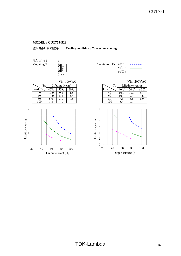

取付方向 B Mounting B  $\frac{1}{2}$  (



|  |                                          | Conditions Ta $40^{\circ}$ C: ------ |
|--|------------------------------------------|--------------------------------------|
|  | $50^{\circ}$ C $\cdot$ $\frac{1}{\cdot}$ |                                      |
|  |                                          | $60^{\circ}$ $\sim$ $       \sim$    |



|            |                  | $Vin=100VAC$ |      |                  | $Vin=200VAC$ |
|------------|------------------|--------------|------|------------------|--------------|
|            | Lifetime (years) |              | Тa   | Lifetime (years) |              |
| 4Օ°Ր       |                  |              | Load |                  |              |
|            |                  |              | 40   |                  |              |
| 10.0       |                  |              | 60   |                  |              |
| 6.0        |                  |              | 80   |                  |              |
| $\gamma$ o |                  |              | 1 ሰሰ | n 7              |              |

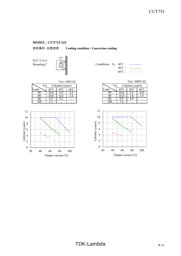空冷条件:自然空冷 **Cooling condition : Convection cooling**

取付方向 C



| Conditions Ta $40^{\circ}$ C: $---$ |  |                                  |
|-------------------------------------|--|----------------------------------|
|                                     |  | $50^{\circ}$ C : $\qquad \qquad$ |
|                                     |  | $60^{\circ}$ C: $---$            |

|                 |    |                  | $Vin=100VAC$ |      |              | $Vin=200VA$      |                |
|-----------------|----|------------------|--------------|------|--------------|------------------|----------------|
| Ta <sub>1</sub> |    | Lifetime (years) |              | Ta   |              | Lifetime (years) |                |
| Load            | 40 |                  | 60°C         | Load | $40^{\circ}$ |                  | $60^{\circ}$ C |
|                 |    | -9               |              |      |              |                  | 4.C            |
| 6U              |    | 6.8              |              | nı.  |              |                  |                |
|                 |    | ے.+              |              |      | Q<br>q       | 4.9              |                |
| LOO             |    |                  |              | 00   |              |                  |                |
|                 |    |                  |              |      |              |                  |                |



|    |     | . .              |              |  |      |     |                  |              |
|----|-----|------------------|--------------|--|------|-----|------------------|--------------|
|    |     |                  | $Vin=100VAC$ |  |      |     |                  | $Vin=200VAC$ |
| Ta |     | Lifetime (years) |              |  | Ta   |     | Lifetime (years) |              |
|    |     |                  |              |  | Load |     |                  |              |
|    | 0.0 |                  |              |  |      | ۹J) |                  |              |
|    |     |                  |              |  | 60   |     |                  |              |



# $TDK-Lambda$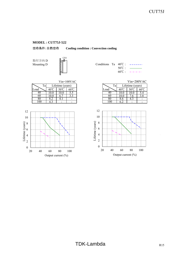空冷条件:自然空冷 **Cooling condition : Convection cooling**

取付方向 D



| Mounting D | 20022223 | Conditions Ta $40^{\circ}$ C : ------ |                |                    |
|------------|----------|---------------------------------------|----------------|--------------------|
|            |          |                                       | $50^{\circ}$ C |                    |
|            |          |                                       | $60^{\circ}$ C | المستحسن والمستحدث |

|      |                  |      | $Vin=100VAC$           |                 |              | $Vin=200VA$      |              |
|------|------------------|------|------------------------|-----------------|--------------|------------------|--------------|
| Ta   | Lifetime (years) |      |                        | Ta <sub>1</sub> |              | Lifetime (years) |              |
| Load | $40^{\circ}$     | 50°C | $60^{\circ}\mathrm{C}$ | Load            | $40^{\circ}$ | 50°C             | $60^{\circ}$ |
| 40   |                  |      | ں . ر                  | 40              | LO.C         |                  | 5.4          |
| 60   |                  |      | כ. כ                   | 60              | .0.0         |                  | 3.8          |
| ŏυ   |                  | 4. I |                        | 80              | δ.O          | 4.3              |              |
| .00  |                  |      |                        | 100             |              |                  |              |



|      |                  |                | $Vin=100VAC$ |      |              | Vin=200VAC       |                |
|------|------------------|----------------|--------------|------|--------------|------------------|----------------|
| Ta   | Lifetime (years) |                |              | Ta   |              | Lifetime (years) |                |
| Load | 40°C             | $50^{\circ}$ C | $60^{\circ}$ | Load | $40^{\circ}$ | 50°C             | $60^{\circ}$ C |
| 40   | 0.0              |                | ر. ر         | 40   | υ.           |                  |                |

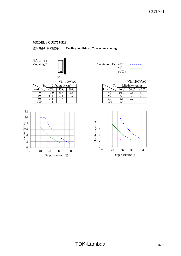

取付方向 E Mounting E  $\|\cdot\|$  (Conditions Table 10000)



|      |     | $Vin=100VAC$     |                           |  | $Vin=200VA$ |              |                  |                |
|------|-----|------------------|---------------------------|--|-------------|--------------|------------------|----------------|
| Ta   |     | Lifetime (years) |                           |  | Ta,         |              | Lifetime (years) |                |
| Load |     | $50^{\circ}$     | $\epsilon$ n $^{\circ}$ n |  | Load        | $40^{\circ}$ | $50^{\circ}$     | $60^{\circ}$ C |
| 40   | 0.0 |                  | ر . ر                     |  |             |              |                  | . ر            |
| 60   | b.8 |                  | .                         |  | 60          |              |                  | 4.1            |
| 80   |     |                  |                           |  | oι          | +. J         | 4.L              |                |
| 00   |     |                  |                           |  | $($ $()()$  |              |                  |                |



|  | Conditions Ta $40^{\circ}$ C : $---$ |
|--|--------------------------------------|
|  | $50^{\circ}$ C : $\qquad \qquad$     |
|  | $60^{\circ}$ C: $---$                |

|    |                  |  | $Vin=100VAC$ |      |    | $Vin=200VAC$     |  |
|----|------------------|--|--------------|------|----|------------------|--|
| Ta | Lifetime (years) |  |              |      | Ta | Lifetime (years) |  |
|    |                  |  |              | ∟oad |    |                  |  |
|    |                  |  |              |      |    |                  |  |
|    | 6.8              |  |              |      | 60 |                  |  |
|    |                  |  |              |      |    |                  |  |
|    |                  |  |              |      |    |                  |  |

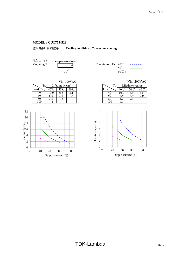

取付方向 F



|  | Conditions Ta $40^{\circ}$ C : $---$ |
|--|--------------------------------------|
|  | $50^{\circ}$ C : $\qquad \qquad$     |
|  | $60^{\circ}$ $\sim$ $       -$       |

|      |       |                  | $Vin=100VAC$   |         |                 | $Vin=200VA$      |                |
|------|-------|------------------|----------------|---------|-----------------|------------------|----------------|
| Ta   |       | Lifetime (years) |                | Ta      |                 | Lifetime (years) |                |
| Load | 40 '  |                  | $60^{\circ}$ C | Load    |                 |                  | $60^{\circ}$ C |
| 4U   | .UU   |                  |                | 4U      | LV.U            | 6 Y              |                |
| 60   | 0.0   |                  | .0             | 60      | $\cdot^{\circ}$ | 3.9              | Z.U            |
| 80   | ر . ر | $\mathbf{0}$ .   |                |         |                 | 4. J             |                |
| 00   |       |                  |                | $.00\,$ |                 |                  |                |
|      |       |                  |                |         |                 |                  |                |



|     |                  |  | $Vin=100VAC$ | $Vin=200VAC$ |      |  |                  |  |
|-----|------------------|--|--------------|--------------|------|--|------------------|--|
| Ta  | Lifetime (years) |  |              |              | Ta   |  | Lifetime (years) |  |
| d   |                  |  |              |              | Load |  |                  |  |
| 40  | Α.               |  |              |              |      |  |                  |  |
| 60  | 0.0              |  | 1.0          |              | ou   |  |                  |  |
|     |                  |  |              |              |      |  | 4. J             |  |
| 100 |                  |  |              |              |      |  |                  |  |
|     |                  |  |              |              |      |  |                  |  |

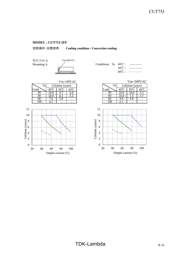

取付方向 A Mounting A



|  | Conditions Ta $40^{\circ}$ C: $---$ |
|--|-------------------------------------|
|  | $50^{\circ}$ $\sim$ $\sim$          |
|  | $60^{\circ}$ C $        -$          |



|                  |               | $Vin=100VAC$ |       |   |                  | $Vin=200VAC$ |
|------------------|---------------|--------------|-------|---|------------------|--------------|
| Lifetime (years) |               |              | Ta    |   | Lifetime (years) |              |
| $40^{\circ}$     |               |              | ∟oad  |   |                  |              |
|                  |               |              |       |   |                  |              |
| 10.0             |               |              | 60    |   |                  |              |
| .6               | $\mathcal{S}$ |              | X١    |   | 4. C             |              |
| $\Lambda$ 3      |               | -            | 1 O N | h | -                |              |

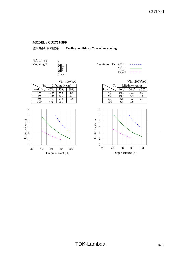空冷条件:自然空冷 **Cooling condition : Convection cooling**

取付方向 B







|                  |           | $Vin=100VAC$ |      |                  | $Vin=200VAC$ |
|------------------|-----------|--------------|------|------------------|--------------|
| Lifetime (years) |           |              | Ta   | Lifetime (years) |              |
| 40°C             |           |              | Load |                  |              |
| 10.0             |           |              |      |                  |              |
| 10.0             |           |              | 60   | 6.9              |              |
|                  | $\cdot$ 0 |              | 80   |                  | ۷.,          |
|                  |           |              |      |                  |              |



 $\overline{\phantom{a}}$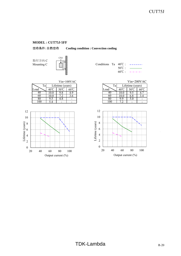空冷条件:自然空冷 **Cooling condition : Convection cooling**

取付方向 C



|      | . .              |              |      |          |                  |                |
|------|------------------|--------------|------|----------|------------------|----------------|
|      |                  | $Vin=100VAC$ |      |          | $Vin=200VA$      |                |
| Ta,  | Lifetime (years) |              | Ta   |          | Lifetime (years) |                |
| Load |                  | $60^{\circ}$ | Load | 40 J     |                  | $60^{\circ}$ C |
| 40   | ۰.٥              |              | 41.  |          | 9:               |                |
| 60   |                  | 3.6          | 60   | LO.O     | 6.8              | 3.4            |
| 80   | +.0              |              |      | $\Omega$ |                  |                |



|  | Conditions Ta $40^{\circ}$ C: ------ |
|--|--------------------------------------|
|  | $50^{\circ}$ $\sim$ $\sim$           |
|  | $60^{\circ}$ $\sim$ $       -$       |

|     |                  | $Vin=100VAC$ |      |   |                  | Vin=200VAC   |
|-----|------------------|--------------|------|---|------------------|--------------|
| Ta  | Lifetime (years) |              | Ta   |   | Lifetime (years) |              |
| d   |                  | $60^{\circ}$ | Load |   | 50°C             | $60^{\circ}$ |
| 40  |                  |              |      |   |                  |              |
| 60  |                  |              | 60   |   | o.ŏ              |              |
| 80  | t.O              |              |      | O | D.U              |              |
| 100 |                  |              |      |   |                  |              |



 $\overline{\phantom{a}}$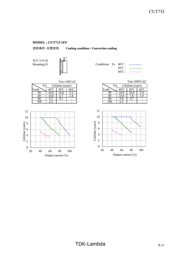空冷条件:自然空冷 **Cooling condition : Convection cooling**

取付方向 D



| Mounting D | 1000000000 | Conditions Ta $40^{\circ}$ C : ------ |                   |                             |
|------------|------------|---------------------------------------|-------------------|-----------------------------|
|            |            |                                       | 50 <sup>°</sup> C |                             |
|            |            |                                       | $60^{\circ}$ C    | المتواطن والمتواطن والمتواز |

|      |              |                        | $Vin=100VAC$   |      |      | $Vin=200VA$      |                |
|------|--------------|------------------------|----------------|------|------|------------------|----------------|
| Ta   |              | Lifetime (years)       |                | Ta   |      | Lifetime (years) |                |
| Load | $40^{\circ}$ | $50^{\circ}\mathrm{C}$ | $60^{\circ}$ C | Load | 40   | $50^{\circ}$     | $60^{\circ}$ C |
| 40   | <b>0.0</b>   |                        |                | 40   |      | .0.U             |                |
| 60   | 0.0          |                        | 3.4            | 6U   | 10.U | $\cdot^{\circ}$  |                |
| 80   | 0.Z          | 4. 1                   | -              | 80   | ۰.4  |                  |                |
| .00  |              |                        | -              | 00   |      | -                |                |



|     |           |                  | $Vin=100VAC$           | $Vin=200VAC$ |      |      |                  |              |  |  |  |
|-----|-----------|------------------|------------------------|--------------|------|------|------------------|--------------|--|--|--|
| Ta  |           | Lifetime (years) |                        |              | Ta   |      | Lifetime (years) |              |  |  |  |
| d   |           |                  | $60^{\circ}\mathrm{C}$ |              | Load |      | $50^{\circ}$     | $60^{\circ}$ |  |  |  |
| 40  | $\cdot$ 0 |                  | ے ۔                    |              |      |      |                  |              |  |  |  |
| 60  | .0.0      |                  |                        |              | nu   | .0.0 |                  |              |  |  |  |
| 80  |           |                  |                        |              |      | '.4  |                  |              |  |  |  |
| 100 |           |                  |                        |              | (1)  |      |                  |              |  |  |  |
|     |           |                  |                        |              |      |      |                  |              |  |  |  |

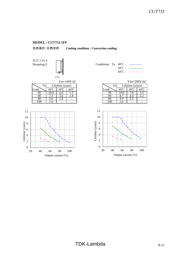

取付方向 E Mounting E  $\|\cdot\|$ 







|  | Conditions Ta $40^{\circ}$ C : $---$ |
|--|--------------------------------------|
|  | $50^{\circ}$ C : $\_\_$              |
|  | $60^{\circ}$ $\sim$ $       -$       |

|      |                  | $Vin=100VAC$ |      | $Vin=200VAC$     |  |
|------|------------------|--------------|------|------------------|--|
|      | Lifetime (years) |              | Ta   | Lifetime (years) |  |
| 4Օ°Ր |                  |              | Load |                  |  |
|      | 0.0              |              | 40.  |                  |  |
|      | 3.O              |              | 60   |                  |  |
| 3.6  | $\cdot$ O        |              | 8U   | ں ۔              |  |
|      |                  |              |      |                  |  |

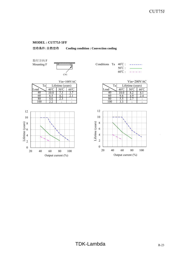

取付方向 F



|  |                  | Conditions Ta $40^{\circ}$ C : $---$                                |
|--|------------------|---------------------------------------------------------------------|
|  | $50^{\circ}$ C : | $\overline{\phantom{a}}$ . The contract of $\overline{\phantom{a}}$ |
|  |                  | $60^{\circ}$ $\sim$ $       \sim$                                   |

|      |            |              |                  |              |       | $Vin=200VA$ |                  |
|------|------------|--------------|------------------|--------------|-------|-------------|------------------|
|      |            |              |                  | Ta           |       |             |                  |
| Load | 40.        | $60^{\circ}$ |                  | Load         |       |             | $60^{\circ}$ C   |
| 4U   | <b>0.0</b> |              |                  | 40           | 1 V.U |             | 4.1              |
| 60   |            | 4. 1         |                  | 60           |       |             |                  |
| 80   | 4.0        |              |                  | പ            | ن. ر  | ∠.          |                  |
| .00  |            | -            |                  | OU           |       | -           |                  |
|      | Ta         |              | Lifetime (years) | $Vin=100VAC$ |       |             | Lifetime (years) |



|     |     |                  | $Vin=100VAC$ |      |                  |    | $Vin=200VAC$   |
|-----|-----|------------------|--------------|------|------------------|----|----------------|
| Ta  |     | Lifetime (years) |              | Ta,  | Lifetime (years) |    |                |
| d   |     |                  | $60^{\circ}$ | Load |                  |    | $60^{\circ}$ C |
| 40  |     |                  |              |      |                  |    |                |
| 60  |     |                  |              | nu   |                  |    |                |
| 80  | 4.0 | ر . ے            |              | 8U   | ر. ر             | ∼. |                |
| 100 |     |                  |              | 00   |                  |    |                |

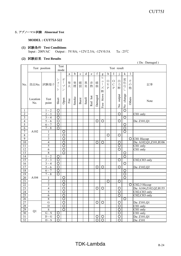### 5.アブノーマル試験 **Abnormal Test**

### **MODEL : CUT75J-522**

### **(1)** 試験条件 **Test Conditions** Input : 200VAC Output : 5V/8A; +12V/2.5A; -12V/0.5A Ta : 25℃

### **(2)** 試験結果 **Test Results**

 <sup>(</sup> Da : Damaged )

|                         |                 | Test position           |                                | Test                                                                     |                       |       |             |         |             |                    |                                                                                  |                                         | Test result                               |                         |                         |                         |                          |
|-------------------------|-----------------|-------------------------|--------------------------------|--------------------------------------------------------------------------|-----------------------|-------|-------------|---------|-------------|--------------------|----------------------------------------------------------------------------------|-----------------------------------------|-------------------------------------------|-------------------------|-------------------------|-------------------------|--------------------------|
|                         |                 |                         |                                | mode                                                                     |                       |       |             |         |             |                    |                                                                                  |                                         |                                           |                         |                         |                         |                          |
|                         |                 |                         |                                |                                                                          | a                     | b     | $\mathbf c$ | $\rm d$ | $\mathbf e$ | $\mathbf f$        | g                                                                                | h                                       | I                                         |                         | $\mathbf k$             | 1                       |                          |
| No.                     | 部品No.           | 試験端子                    | シ<br>$\exists$<br>$\mathsf{h}$ | 才<br>$\overline{1}$<br>$\mathcal{I}^{\circ}$<br>$\overline{\mathcal{L}}$ | 発火                    | 発煙    | 破裂          | 異臭      | 赤<br>熱      | 破<br>損             | ヒ<br>$\overline{\phantom{a}}$<br>$\begin{array}{c} \hline \end{array}$<br>ズ<br>断 | O<br>$\bar{\mathrm{V}}$<br>$\mathbf{P}$ | $\bigcirc$<br>$\mathbf C$<br>$\mathbf{P}$ | 出<br>力<br>断             | 変化な<br>$\cup$           | z<br>$\mathcal{O}$<br>他 | 記事                       |
|                         | Location<br>No. | Test<br>point           | Short                          | Open                                                                     | $\operatorname{Fire}$ | Smoke | Burst       | Smell   | Red hot     | Damaged            | blown<br>Fuse                                                                    |                                         |                                           | output<br>$\frac{1}{2}$ | change<br>$\frac{1}{2}$ | Others                  | Note                     |
| 1                       |                 | $1\sim2$                | $\circ$                        |                                                                          |                       |       |             |         |             |                    |                                                                                  |                                         |                                           |                         | $\overline{\circ}$      |                         |                          |
| $\overline{2}$          |                 | $2\sim3$                | $\circ$                        |                                                                          |                       |       |             |         |             |                    |                                                                                  |                                         |                                           | O                       |                         |                         | CH1 only                 |
| $\overline{\mathbf{3}}$ |                 | $3 \sim 4$              | $\circ$                        |                                                                          |                       |       |             |         |             |                    |                                                                                  |                                         |                                           |                         | O                       |                         |                          |
| $\overline{4}$          |                 | $5 \sim 6$              | $\circ$                        |                                                                          |                       |       |             |         |             | $\circ$            | $\overline{O}$                                                                   |                                         |                                           | $\overline{O}$          |                         |                         | Da: Z101, Q1             |
| 5                       |                 | $6\sim7$                | $\overline{O}$                 |                                                                          |                       |       |             |         |             |                    |                                                                                  |                                         |                                           |                         | $\circ$                 |                         |                          |
| $\overline{6}$          |                 | $7\sim8$                | $\overline{\rm O}$             |                                                                          |                       |       |             |         |             |                    |                                                                                  |                                         |                                           |                         | $\overline{\circ}$      |                         |                          |
| $\overline{7}$          | A102            | 1                       |                                | $\overline{O}$                                                           |                       |       |             |         |             |                    |                                                                                  |                                         |                                           |                         | O                       |                         |                          |
| $\overline{8}$          |                 | $\overline{c}$          |                                | $\circ$                                                                  |                       |       |             |         |             |                    |                                                                                  | O                                       |                                           | O                       |                         |                         |                          |
| $\overline{9}$          |                 | $\overline{\mathbf{3}}$ |                                | $\circ$                                                                  |                       |       |             |         |             |                    |                                                                                  |                                         |                                           |                         |                         | $\circ$                 | CH1 Hiccup               |
| 10                      |                 | $\overline{4}$          |                                | $\overline{\circ}$                                                       |                       |       |             |         |             | $\circ$            | $\overline{O}$                                                                   |                                         |                                           | $\overline{O}$          |                         |                         | Da: A102, Q1, Z101, R106 |
| $\overline{11}$         |                 | 5                       |                                | $\overline{\circ}$                                                       |                       |       |             |         |             |                    |                                                                                  |                                         |                                           | $\overline{O}$          |                         |                         | $CH1$ only               |
| 12                      |                 | $\overline{6}$          |                                | $\circ$                                                                  |                       |       |             |         |             |                    |                                                                                  |                                         |                                           | O                       |                         |                         | CH1 only                 |
| 13                      |                 | $\overline{8}$          |                                | $\overline{\circ}$                                                       |                       |       |             |         |             |                    |                                                                                  |                                         |                                           |                         | $\circ$                 |                         |                          |
| 14                      |                 | $\overline{1} \sim 2$   | O                              |                                                                          |                       |       |             |         |             |                    |                                                                                  |                                         |                                           |                         | $\circ$                 |                         |                          |
| 15                      |                 | $2 \sim 3$              | O                              |                                                                          |                       |       |             |         |             |                    |                                                                                  |                                         |                                           | $\circ$                 |                         |                         | CH2,CH3 only             |
| 16                      |                 | $3 \sim 4$              | $\overline{\rm O}$             |                                                                          |                       |       |             |         |             |                    |                                                                                  |                                         |                                           |                         | $\circ$                 |                         |                          |
| 17                      |                 | $\overline{5}$ ~ 6      | $\overline{O}$                 |                                                                          |                       |       |             |         |             | $\overline{O}$     | $\overline{O}$                                                                   |                                         |                                           | $\overline{\text{O}}$   |                         |                         | Da: Z102,Q2              |
| $\overline{18}$         |                 | $6\sim7$                | $\circ$                        |                                                                          |                       |       |             |         |             |                    |                                                                                  |                                         |                                           |                         | $\circ$                 |                         |                          |
| 19                      |                 | $7\sim8$                | $\overline{\rm O}$             |                                                                          |                       |       |             |         |             |                    |                                                                                  |                                         |                                           |                         | $\circ$                 |                         |                          |
| 20                      | A104            | 1                       |                                | ੋ                                                                        |                       |       |             |         |             |                    |                                                                                  |                                         |                                           |                         | ਠ                       |                         |                          |
| 21                      |                 | $\overline{2}$          |                                | $\overline{O}$                                                           |                       |       |             |         |             |                    |                                                                                  | $\circ$                                 |                                           | $\circ$                 |                         |                         |                          |
| 22                      |                 | $\overline{3}$          |                                | O                                                                        |                       |       |             |         |             |                    |                                                                                  |                                         |                                           |                         |                         | O                       | CH2,3 Hiccup             |
| 23                      |                 | $\overline{4}$          |                                | $\overline{\circ}$                                                       |                       |       |             |         |             | $\circ$            | $\circ$                                                                          |                                         |                                           | $\circ$                 |                         |                         | Da: A104,Z102,Q2,R155    |
| 24                      |                 | 5                       |                                | $\circ$                                                                  |                       |       |             |         |             |                    |                                                                                  |                                         |                                           | $\circ$                 |                         |                         | CH2,CH3 only             |
| 25                      |                 | $\overline{6}$          |                                | $\circ$                                                                  |                       |       |             |         |             |                    |                                                                                  |                                         |                                           | O                       |                         |                         | CH2,CH3 only             |
| 26                      |                 | $\overline{8}$          |                                | $\overline{O}$                                                           |                       |       |             |         |             |                    |                                                                                  |                                         |                                           |                         | $\circ$                 |                         |                          |
| 27                      |                 | $\overline{G}$          |                                | $\circ$                                                                  |                       |       |             |         |             | $\circ$            | $\circ$                                                                          |                                         |                                           | $\circ$                 |                         |                         | Da: Z101, Q1             |
| 28                      |                 | $\overline{D}$          |                                | $\circ$                                                                  |                       |       |             |         |             |                    |                                                                                  |                                         |                                           | O                       |                         |                         | CH1 only                 |
|                         | Q1              | $\overline{S}$          |                                | $\overline{\circ}$                                                       |                       |       |             |         |             |                    |                                                                                  |                                         |                                           | $\overline{O}$          |                         |                         | CH1 only                 |
| $\frac{29}{30}$         |                 | $G \sim S$              | $\overline{\rm O}$             |                                                                          |                       |       |             |         |             |                    |                                                                                  |                                         |                                           | $\overline{\rm O}$      |                         |                         | $\overline{CH1}$ only    |
| 31                      |                 | $D\sim G$               | O                              |                                                                          |                       |       |             |         |             | $\circ$            | $\circ$                                                                          |                                         |                                           | O                       |                         |                         | Da: Z101,Q1              |
| 32                      |                 | $D \sim S$              | $\overline{\circ}$             |                                                                          |                       |       |             |         |             | $\overline{\circ}$ | $\overline{\circ}$                                                               |                                         |                                           | $\overline{\circ}$      |                         |                         | Da: Z101                 |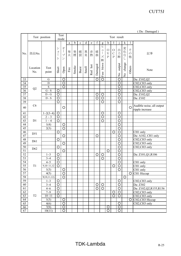| (Da: Damaged) |  |
|---------------|--|
|---------------|--|

|                 |                | Test position                |                       | Test                                              | Test result  |       |             |             |         |                         |                               |                    |               |                               |                                 |               |                                          |
|-----------------|----------------|------------------------------|-----------------------|---------------------------------------------------|--------------|-------|-------------|-------------|---------|-------------------------|-------------------------------|--------------------|---------------|-------------------------------|---------------------------------|---------------|------------------------------------------|
|                 |                |                              |                       | mode                                              |              |       |             |             |         |                         |                               |                    |               |                               |                                 |               |                                          |
|                 |                |                              |                       |                                                   | $\mathbf{a}$ | b     | $\mathbf c$ | $\mathbf d$ | e       | f                       | $\mathbf g$                   | h                  |               |                               | k                               | $\mathbf{I}$  |                                          |
|                 |                |                              | シ                     | 才                                                 |              |       |             |             |         |                         | ヒ                             | $\bigcirc$         | $\circ$       | 出                             |                                 | そ             |                                          |
| No.             | 部品No.          |                              | $\exists$             | $\begin{array}{c} \hline \end{array}$             | 発            | 発     | 破           | 異臭          | 赤       | 破                       | $\overline{1}$                | $\bar{\mathrm{V}}$ | $\mathcal{C}$ | 力                             | 変化な                             | $\mathcal{O}$ | 記事                                       |
|                 |                |                              | $\vdash$              | $\mathcal{I}^{\circ}$<br>$\overline{\mathscr{S}}$ | 火            | 煙     | 裂           |             | 熱       | 損                       | ズ                             | $\overline{P}$     | $\mathbf P$   | 断                             | L                               | 他             |                                          |
|                 |                |                              |                       |                                                   |              |       |             |             |         |                         | 断                             |                    |               |                               |                                 |               |                                          |
|                 |                |                              |                       |                                                   |              |       |             |             |         |                         | Fuse blown                    |                    |               | output                        | change                          |               |                                          |
|                 | Location       | Test                         | Short                 | Open                                              | Fire         | Smoke | Burst       | Smell       |         |                         |                               |                    |               |                               |                                 | Others        | Note                                     |
|                 | No.            | point                        |                       |                                                   |              |       |             |             | Red hot | Damaged                 |                               |                    |               | $\frac{1}{2}$                 | $\frac{\mathsf{o}}{\mathsf{X}}$ |               |                                          |
| 33              |                | G                            |                       | O                                                 |              |       |             |             |         | $\overline{\rm O}$      | $\overline{\circ}$            |                    |               | $\overline{\circ}$            |                                 |               | Da: Z102,Q2                              |
| 34              |                | $\mathbf D$                  |                       | $\overline{\circ}$                                |              |       |             |             |         |                         |                               |                    |               | $\overline{\rm O}$            |                                 |               | CH2,CH3 only                             |
| 35              |                | ${\bf S}$                    |                       | $\circ$                                           |              |       |             |             |         |                         |                               |                    |               | $\circ$                       |                                 |               | CH2,CH3 only                             |
| 36              | Q2             | $G - S$                      | O                     |                                                   |              |       |             |             |         |                         |                               |                    |               | $\circ$                       |                                 |               | CH2,CH3 only                             |
|                 |                | $D - G$                      | $\circ$               |                                                   |              |       |             |             |         |                         |                               |                    |               | $\circ$                       |                                 |               | Da: Z102,Q2                              |
| $\overline{37}$ |                |                              |                       |                                                   |              |       |             |             |         | O<br>$\overline{\rm O}$ | $\circ$<br>$\overline{O}$     |                    |               | $\circ$                       |                                 |               |                                          |
| 38              |                | $\mathbf{D}$ - $\mathbf{S}$  | $\circ$               |                                                   |              |       |             |             |         |                         |                               |                    |               |                               |                                 |               | Da: Z102                                 |
| 39              |                |                              | $\circ$               |                                                   |              |       |             |             |         |                         | $\overline{O}$                |                    |               | $\circ$                       |                                 |               |                                          |
| 40              | C6             |                              |                       | O                                                 |              |       |             |             |         |                         |                               |                    |               |                               |                                 | $\circ$       | Audible noise, all output                |
|                 |                |                              |                       |                                                   |              |       |             |             |         |                         |                               |                    |               | $\circ$                       |                                 |               | ripple increase                          |
| 41              |                | $1 - 2(3 - 4)$<br>$2 \sim 3$ | $\circ$<br>$\circ$    |                                                   |              |       |             |             |         |                         | $\circ$<br>$\overline{\rm O}$ |                    |               | $\overline{O}$                |                                 |               |                                          |
| 42<br>43        | D1             | $1\sim\overline{4}$          | $\circ$               |                                                   |              |       |             |             |         |                         | $\overline{\text{O}}$         |                    |               |                               |                                 |               |                                          |
| 44              |                |                              |                       |                                                   |              |       |             |             |         |                         |                               |                    |               | $\circ$<br>$\overline{\circ}$ |                                 |               |                                          |
| $\overline{45}$ |                | 1(4)<br>2(3)                 |                       | $\circ$<br>$\overline{\circ}$                     |              |       |             |             |         |                         |                               |                    |               | $\overline{\rm O}$            |                                 |               |                                          |
| 46              |                |                              | $\circ$               |                                                   |              |       |             |             |         |                         |                               |                    | O             | $\overline{O}$                |                                 |               |                                          |
| 47              | D51            |                              |                       | $\circ$                                           |              |       |             |             |         | O                       |                               |                    |               | $\circ$                       |                                 |               | CH1 only<br>Da: A102, CH1 only           |
| 48              |                |                              | $\circ$               |                                                   |              |       |             |             |         |                         |                               |                    |               | $\overline{\rm O}$            |                                 |               | CH2,CH3 only                             |
| 49              | D61            |                              |                       | $\circ$                                           |              |       |             |             |         |                         |                               |                    |               | O                             |                                 |               | CH2,CH3 only                             |
| 50              |                |                              | $\circ$               |                                                   |              |       |             |             |         |                         |                               |                    |               | $\circ$                       |                                 |               | CH2,CH3 only                             |
| 51              | D62            |                              |                       | $\circ$                                           |              |       |             |             |         |                         |                               | $\circ$            |               | $\circ$                       |                                 |               |                                          |
| $\overline{52}$ |                | $1 - 3$                      | $\circ$               |                                                   |              |       |             |             |         | $\circ$                 | $\circ$                       |                    |               | $\circ$                       |                                 |               | Da: Z101, Q1, R106                       |
| 53              |                | $3 - 4$                      | $\circ$               |                                                   |              |       |             |             |         |                         | $\circ$                       |                    |               | $\circ$                       |                                 |               |                                          |
| $\overline{54}$ |                | $4 - 5$                      | $\circ$               |                                                   |              |       |             |             |         |                         |                               |                    |               | $\circ$                       |                                 |               | CH1 only                                 |
| $\overline{55}$ | T1             | 9,10~11,12                   | $\circ$               |                                                   |              |       |             |             |         |                         |                               |                    | $\circ$       | $\overline{O}$                |                                 |               | CH1 only                                 |
| 56              |                | 1(3)                         |                       | $\overline{O}$                                    |              |       |             |             |         |                         |                               |                    |               | $\overline{O}$                |                                 |               | CH1 only                                 |
| 57              |                | 4(5)                         |                       | $\overline{\circ}$                                |              |       |             |             |         |                         |                               |                    |               |                               |                                 | $\circ$       | CH1 Hiccup                               |
| $\overline{58}$ |                | 9(10, 11, 12)                |                       | $\overline{O}$                                    |              |       |             |             |         |                         |                               |                    |               |                               | $\circ$                         |               |                                          |
| 59              |                | $1~-3$                       | $\circ$               |                                                   |              |       |             |             |         |                         |                               |                    |               | $\circ$                       |                                 |               | CH2,CH3 only                             |
| $\overline{60}$ |                | $3 - 4$                      | $\overline{\circ}$    |                                                   |              |       |             |             |         | O                       | $\circ$                       |                    |               | $\overline{\circ}$            |                                 |               | Da: Z302                                 |
| 61              |                | $4 - 6$                      | $\overline{\circ}$    |                                                   |              |       |             |             |         | $\overline{\circ}$      | $\overline{\circ}$            |                    |               | $\overline{\circ}$            |                                 |               | Da: Z102, Q2, R155, R156                 |
| 62              |                | $7 - 9$                      | $\circ$               |                                                   |              |       |             |             |         |                         |                               |                    | $\circ$       | $\overline{O}$                |                                 |               | CH2,CH3 only                             |
| 63              | T <sub>2</sub> | $10 - 11$                    | $\overline{\bigcirc}$ |                                                   |              |       |             |             |         |                         |                               |                    | $\circ$       | $\overline{O}$                |                                 |               | CH2,CH3 only                             |
| 64              |                | 1(3)                         |                       | $\circ$                                           |              |       |             |             |         |                         |                               |                    |               |                               |                                 | O             | CH <sub>2</sub> , CH <sub>3</sub> Hiccup |
| 65              |                | 4(6)                         |                       | $\overline{\circ}$                                |              |       |             |             |         |                         |                               |                    |               | $\circ$                       |                                 |               | CH2,CH3 only                             |
| 66              |                | 7(9)                         |                       | ਠ                                                 |              |       |             |             |         |                         |                               | $\circ$            |               | $\overline{O}$                |                                 |               |                                          |
| $\overline{67}$ |                | 10(11)                       |                       | $\circ$                                           |              |       |             |             |         |                         |                               | $\overline{O}$     |               | $\circ$                       |                                 |               |                                          |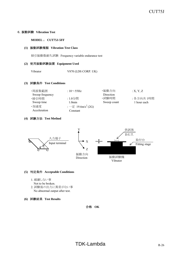### 6.振動試験 **Vibration Test**

**MODEL** : **CUT75J-5FF**

### **(1)** 振動試験種類 **Vibration Test Class**

掃引振動数耐久試験 Frequency variable endurance test

### **(2)** 使用振動試験装置 **Equipment Used**

Vibrator V870 (LDS CORP. UK)

**(3)** 試験条件 **Test Conditions**

| ・周波数範囲          | : $10\sim$ 55Hz                | ・振動方向       | X, Y, Z     |
|-----------------|--------------------------------|-------------|-------------|
| Sweep frequency |                                | Direction   |             |
| ・掃引時間           | : 1.0分間                        | ·試験時間       | : 各方向共 1時間  |
| Sweep time      | $1.0$ min                      | Sweep count | 1 hour each |
| ・加速度            | : 一定 19.6m/s <sup>2</sup> (2G) |             |             |
| Acceleration    | Constant                       |             |             |

### **(4)** 試験方法 **Test Method**



### **(5)** 判定条件 **Acceptable Conditions**

- 1. 破壊しない事
	- Not to be broken.
- 2. 試験後の出力に異常がない事 No abnormal output after test.
- **(6)** 試験結果 **Test Results**

合格 **OK**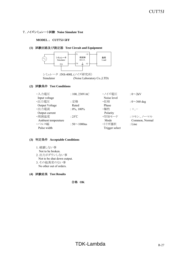### 7.ノイズシミュレート試験 **Noise Simulate Test**

#### **MODEL** : **CUT75J-5FF**

### **(1)** 試験回路及び測定器 **Test Circuit and Equipment**



### **(2)** 試験条件 **Test Conditions**

| ・入力電圧               | : $100, 230$ VAC    | ・ノイズ雷圧         | : $0\infty 2kV$    |
|---------------------|---------------------|----------------|--------------------|
| Input voltage       |                     | Noise level    |                    |
| ・出力電圧               | :定格                 | ・位相            | : $0 \sim 360$ deg |
| Output Voltage      | Rated               | Phase          |                    |
| ・出力電流               | $: 0\%, 100\%$      | · 極性           | $: +,-$            |
| Output current      |                     | Polarity       |                    |
| ·周囲温度               | $\cdot$ 25°C        | ・印加モード         | :コモン、ノーマル          |
| Ambient temperature |                     | Mode           | Common, Normal     |
| ・パルス幅               | : $50 \sim 1000$ ns | ・トリガ選択         | $:$ Line           |
| Pulse width         |                     | Trigger select |                    |

### **(3)** 判定条件 **Acceptable Conditions**

- 1. 破壊しない事
	- Not to be broken.
- 2. 出力がダウンしない事 Not to be shut down output.
- 3. その他異常のない事 No other out of orders.

### **(4)** 試験結果 **Test Results**

合格 **OK**